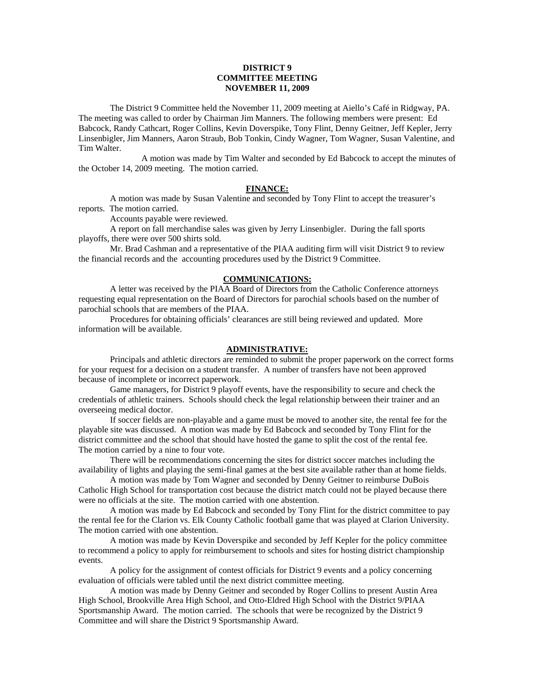# **DISTRICT 9 COMMITTEE MEETING NOVEMBER 11, 2009**

 The District 9 Committee held the November 11, 2009 meeting at Aiello's Café in Ridgway, PA. The meeting was called to order by Chairman Jim Manners. The following members were present: Ed Babcock, Randy Cathcart, Roger Collins, Kevin Doverspike, Tony Flint, Denny Geitner, Jeff Kepler, Jerry Linsenbigler, Jim Manners, Aaron Straub, Bob Tonkin, Cindy Wagner, Tom Wagner, Susan Valentine, and Tim Walter.

 A motion was made by Tim Walter and seconded by Ed Babcock to accept the minutes of the October 14, 2009 meeting. The motion carried.

#### **FINANCE:**

A motion was made by Susan Valentine and seconded by Tony Flint to accept the treasurer's reports. The motion carried.

Accounts payable were reviewed.

 A report on fall merchandise sales was given by Jerry Linsenbigler. During the fall sports playoffs, there were over 500 shirts sold.

 Mr. Brad Cashman and a representative of the PIAA auditing firm will visit District 9 to review the financial records and the accounting procedures used by the District 9 Committee.

### **COMMUNICATIONS:**

 A letter was received by the PIAA Board of Directors from the Catholic Conference attorneys requesting equal representation on the Board of Directors for parochial schools based on the number of parochial schools that are members of the PIAA.

 Procedures for obtaining officials' clearances are still being reviewed and updated. More information will be available.

# **ADMINISTRATIVE:**

 Principals and athletic directors are reminded to submit the proper paperwork on the correct forms for your request for a decision on a student transfer. A number of transfers have not been approved because of incomplete or incorrect paperwork.

 Game managers, for District 9 playoff events, have the responsibility to secure and check the credentials of athletic trainers. Schools should check the legal relationship between their trainer and an overseeing medical doctor.

 If soccer fields are non-playable and a game must be moved to another site, the rental fee for the playable site was discussed. A motion was made by Ed Babcock and seconded by Tony Flint for the district committee and the school that should have hosted the game to split the cost of the rental fee. The motion carried by a nine to four vote.

 There will be recommendations concerning the sites for district soccer matches including the availability of lights and playing the semi-final games at the best site available rather than at home fields.

 A motion was made by Tom Wagner and seconded by Denny Geitner to reimburse DuBois Catholic High School for transportation cost because the district match could not be played because there were no officials at the site. The motion carried with one abstention.

 A motion was made by Ed Babcock and seconded by Tony Flint for the district committee to pay the rental fee for the Clarion vs. Elk County Catholic football game that was played at Clarion University. The motion carried with one abstention.

 A motion was made by Kevin Doverspike and seconded by Jeff Kepler for the policy committee to recommend a policy to apply for reimbursement to schools and sites for hosting district championship events.

 A policy for the assignment of contest officials for District 9 events and a policy concerning evaluation of officials were tabled until the next district committee meeting.

 A motion was made by Denny Geitner and seconded by Roger Collins to present Austin Area High School, Brookville Area High School, and Otto-Eldred High School with the District 9/PIAA Sportsmanship Award. The motion carried. The schools that were be recognized by the District 9 Committee and will share the District 9 Sportsmanship Award.